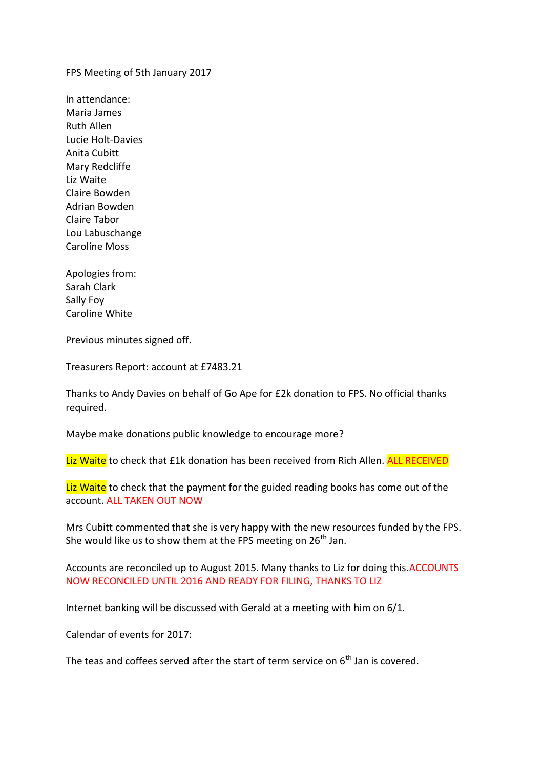FPS Meeting of 5th January 2017

In attendance: Maria James Ruth Allen Lucie Holt-Davies Anita Cubitt Mary Redcliffe Liz Waite Claire Bowden Adrian Bowden Claire Tabor Lou Labuschange Caroline Moss

Apologies from: Sarah Clark Sally Foy Caroline White

Previous minutes signed off.

Treasurers Report: account at £7483.21

Thanks to Andy Davies on behalf of Go Ape for £2k donation to FPS. No official thanks required.

Maybe make donations public knowledge to encourage more?

Liz Waite to check that £1k donation has been received from Rich Allen. ALL RECEIVED

Liz Waite to check that the payment for the guided reading books has come out of the account. ALL TAKEN OUT NOW

Mrs Cubitt commented that she is very happy with the new resources funded by the FPS. She would like us to show them at the FPS meeting on  $26<sup>th</sup>$  Jan.

Accounts are reconciled up to August 2015. Many thanks to Liz for doing this.ACCOUNTS NOW RECONCILED UNTIL 2016 AND READY FOR FILING, THANKS TO LIZ

Internet banking will be discussed with Gerald at a meeting with him on 6/1.

Calendar of events for 2017:

The teas and coffees served after the start of term service on  $6<sup>th</sup>$  Jan is covered.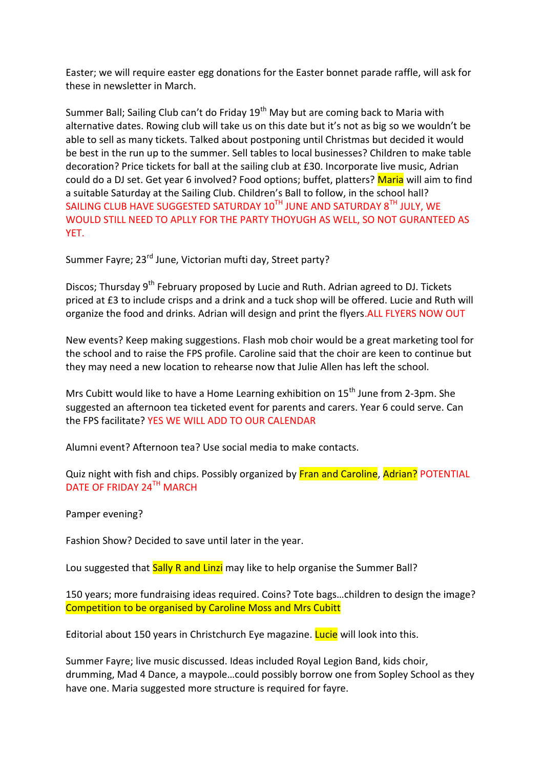Easter; we will require easter egg donations for the Easter bonnet parade raffle, will ask for these in newsletter in March.

Summer Ball; Sailing Club can't do Friday 19<sup>th</sup> May but are coming back to Maria with alternative dates. Rowing club will take us on this date but it's not as big so we wouldn't be able to sell as many tickets. Talked about postponing until Christmas but decided it would be best in the run up to the summer. Sell tables to local businesses? Children to make table decoration? Price tickets for ball at the sailing club at £30. Incorporate live music, Adrian could do a DJ set. Get year 6 involved? Food options; buffet, platters? Maria will aim to find a suitable Saturday at the Sailing Club. Children's Ball to follow, in the school hall? SAILING CLUB HAVE SUGGESTED SATURDAY  $10^{TH}$  JUNE AND SATURDAY  $8^{TH}$  JULY, WE WOULD STILL NEED TO APLLY FOR THE PARTY THOYUGH AS WELL, SO NOT GURANTEED AS YET.

Summer Fayre; 23<sup>rd</sup> June, Victorian mufti day, Street party?

Discos; Thursday 9<sup>th</sup> February proposed by Lucie and Ruth. Adrian agreed to DJ. Tickets priced at £3 to include crisps and a drink and a tuck shop will be offered. Lucie and Ruth will organize the food and drinks. Adrian will design and print the flyers.ALL FLYERS NOW OUT

New events? Keep making suggestions. Flash mob choir would be a great marketing tool for the school and to raise the FPS profile. Caroline said that the choir are keen to continue but they may need a new location to rehearse now that Julie Allen has left the school.

Mrs Cubitt would like to have a Home Learning exhibition on  $15<sup>th</sup>$  June from 2-3pm. She suggested an afternoon tea ticketed event for parents and carers. Year 6 could serve. Can the FPS facilitate? YES WE WILL ADD TO OUR CALENDAR

Alumni event? Afternoon tea? Use social media to make contacts.

Quiz night with fish and chips. Possibly organized by Fran and Caroline, Adrian? POTENTIAL DATE OF FRIDAY 24TH MARCH

Pamper evening?

Fashion Show? Decided to save until later in the year.

Lou suggested that Sally R and Linzi may like to help organise the Summer Ball?

150 years; more fundraising ideas required. Coins? Tote bags…children to design the image? Competition to be organised by Caroline Moss and Mrs Cubitt

Editorial about 150 years in Christchurch Eye magazine. **Lucie** will look into this.

Summer Fayre; live music discussed. Ideas included Royal Legion Band, kids choir, drumming, Mad 4 Dance, a maypole…could possibly borrow one from Sopley School as they have one. Maria suggested more structure is required for fayre.